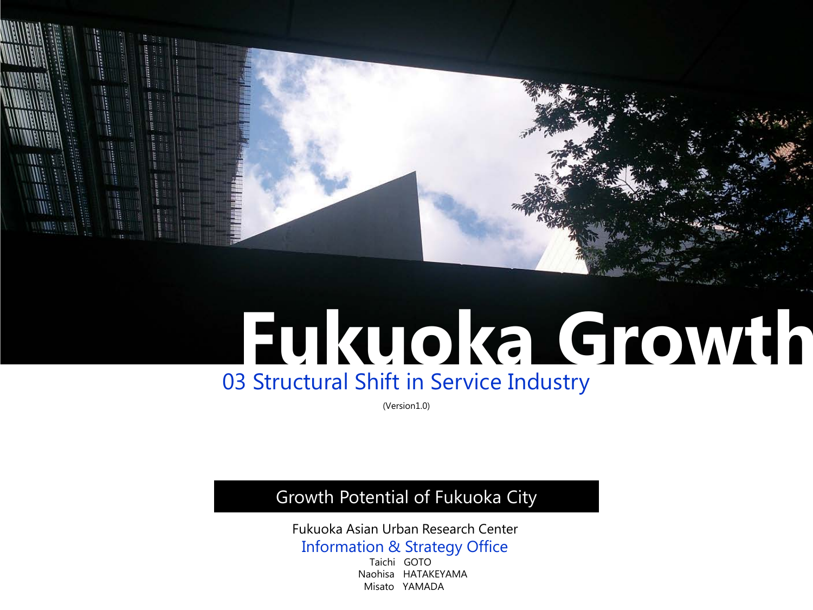

# **Fukuoka Growth** 03 Structural Shift in Service Industry

(Version1.0)

## Growth Potential of Fukuoka City

Fukuoka Asian Urban Research Center Information & Strategy Office<br>
Taichi GOTO

 Naohisa HATAKEYAMA Misato YAMADA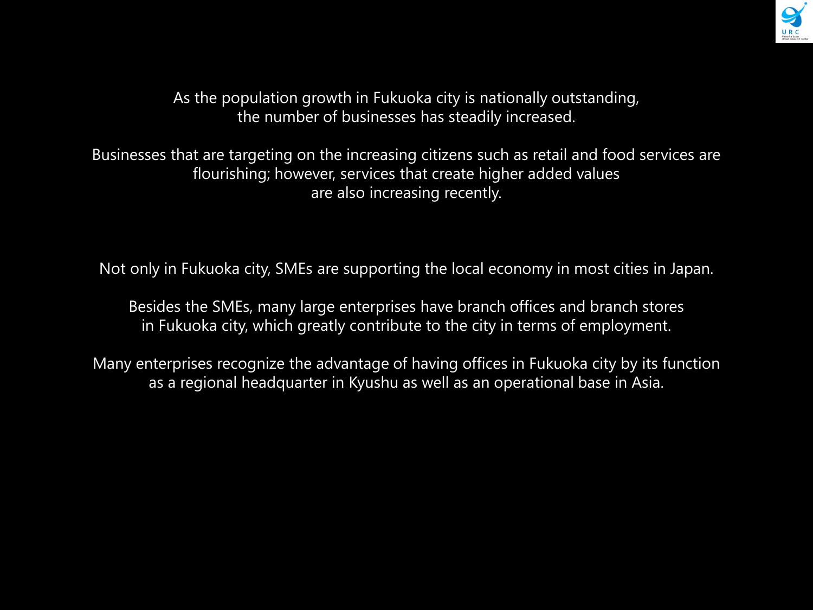

As the population growth in Fukuoka city is nationally outstanding, the number of businesses has steadily increased.

Businesses that are targeting on the increasing citizens such as retail and food services are flourishing; however, services that create higher added values are also increasing recently.

Not only in Fukuoka city, SMEs are supporting the local economy in most cities in Japan.

Besides the SMEs, many large enterprises have branch offices and branch stores in Fukuoka city, which greatly contribute to the city in terms of employment.

Many enterprises recognize the advantage of having offices in Fukuoka city by its function as a regional headquarter in Kyushu as well as an operational base in Asia.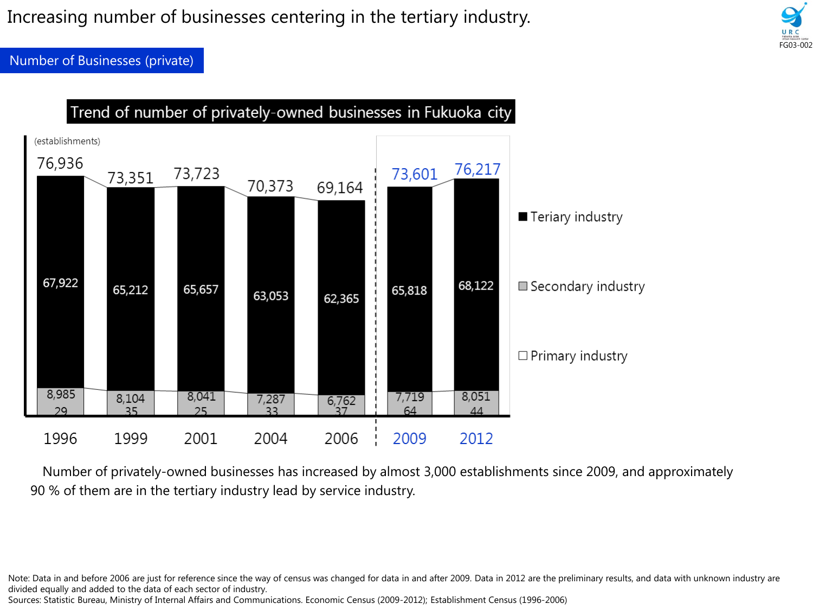Increasing number of businesses centering in the tertiary industry.

FG03-002

Number of Businesses (private)



Number of privately-owned businesses has increased by almost 3,000 establishments since 2009, and approximately 90 % of them are in the tertiary industry lead by service industry.

Sources: Statistic Bureau, Ministry of Internal Affairs and Communications. Economic Census (2009-2012); Establishment Census (1996-2006)

Note: Data in and before 2006 are just for reference since the way of census was changed for data in and after 2009. Data in 2012 are the preliminary results, and data with unknown industry are divided equally and added to the data of each sector of industry.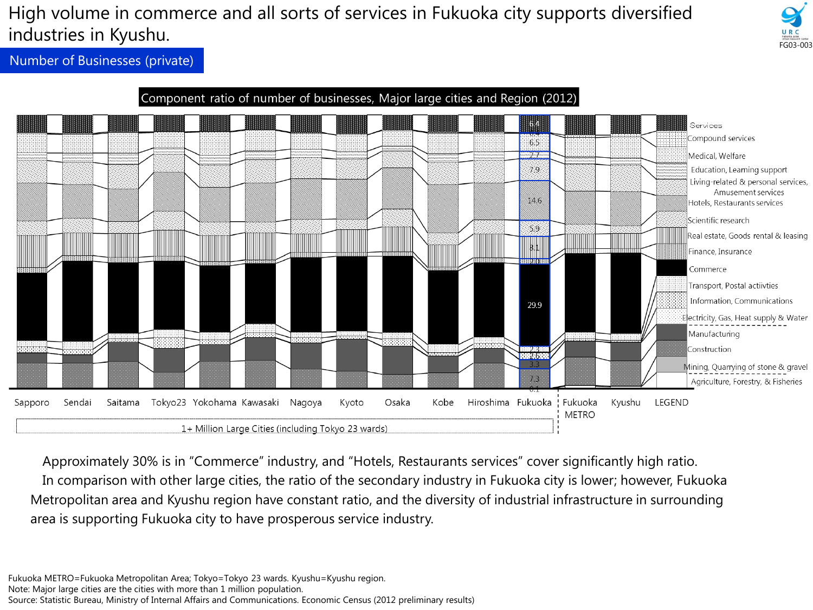## High volume in commerce and all sorts of services in Fukuoka city supports diversified industries in Kyushu.



Number of Businesses (private)



Approximately 30% is in "Commerce" industry, and "Hotels, Restaurants services" cover significantly high ratio. In comparison with other large cities, the ratio of the secondary industry in Fukuoka city is lower; however, Fukuoka Metropolitan area and Kyushu region have constant ratio, and the diversity of industrial infrastructure in surrounding area is supporting Fukuoka city to have prosperous service industry.

Fukuoka METRO=Fukuoka Metropolitan Area; Tokyo=Tokyo 23 wards. Kyushu=Kyushu region. Note: Major large cities are the cities with more than 1 million population. Source: Statistic Bureau, Ministry of Internal Affairs and Communications. Economic Census (2012 preliminary results)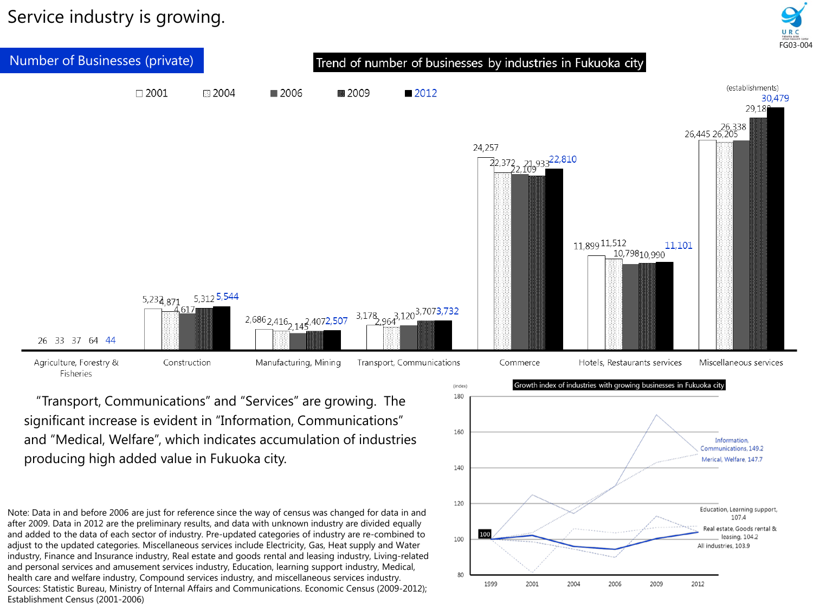Service industry is growing.





"Transport, Communications" and "Services" are growing. The significant increase is evident in "Information, Communications" and "Medical, Welfare", which indicates accumulation of industries producing high added value in Fukuoka city.

Note: Data in and before 2006 are just for reference since the way of census was changed for data in and after 2009. Data in 2012 are the preliminary results, and data with unknown industry are divided equally and added to the data of each sector of industry. Pre-updated categories of industry are re-combined to adjust to the updated categories. Miscellaneous services include Electricity, Gas, Heat supply and Water industry, Finance and Insurance industry, Real estate and goods rental and leasing industry, Living-related and personal services and amusement services industry, Education, learning support industry, Medical, health care and welfare industry, Compound services industry, and miscellaneous services industry. Sources: Statistic Bureau, Ministry of Internal Affairs and Communications. Economic Census (2009-2012); Establishment Census (2001-2006)

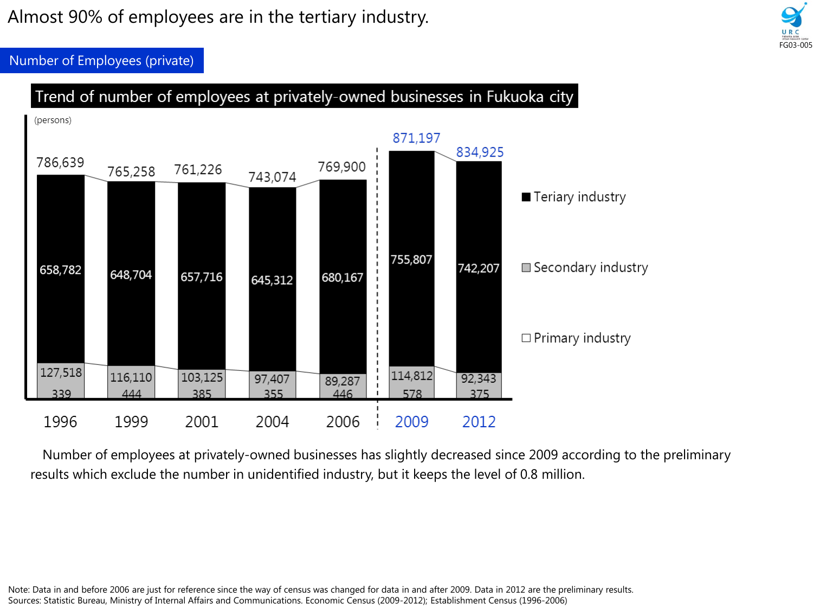Almost 90% of employees are in the tertiary industry.



Number of Employees (private)



Number of employees at privately-owned businesses has slightly decreased since 2009 according to the preliminary results which exclude the number in unidentified industry, but it keeps the level of 0.8 million.

Note: Data in and before 2006 are just for reference since the way of census was changed for data in and after 2009. Data in 2012 are the preliminary results. Sources: Statistic Bureau, Ministry of Internal Affairs and Communications. Economic Census (2009-2012); Establishment Census (1996-2006)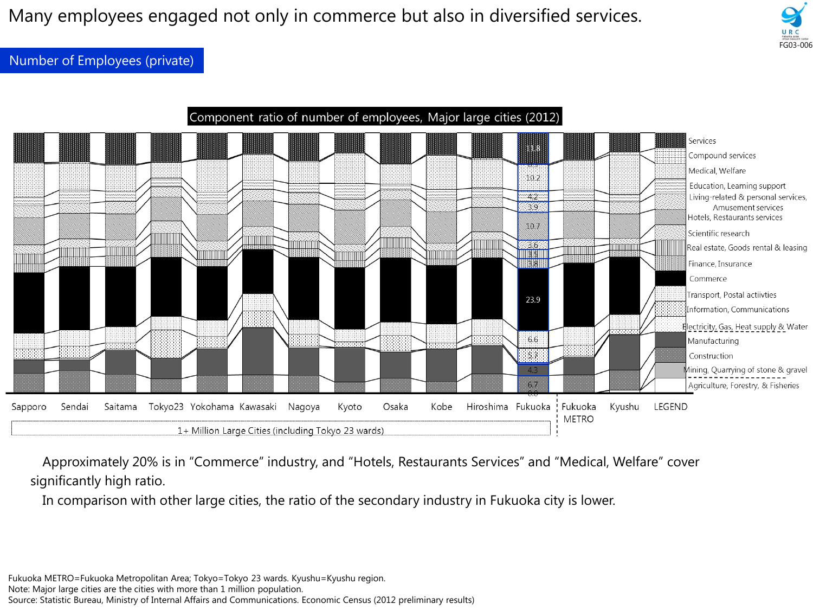Many employees engaged not only in commerce but also in diversified services.

Number of Employees (private)



FG03-006

Approximately 20% is in "Commerce" industry, and "Hotels, Restaurants Services" and "Medical, Welfare" cover significantly high ratio.

In comparison with other large cities, the ratio of the secondary industry in Fukuoka city is lower.

Fukuoka METRO=Fukuoka Metropolitan Area; Tokyo=Tokyo 23 wards. Kyushu=Kyushu region.

Note: Major large cities are the cities with more than 1 million population.

Source: Statistic Bureau, Ministry of Internal Affairs and Communications. Economic Census (2012 preliminary results)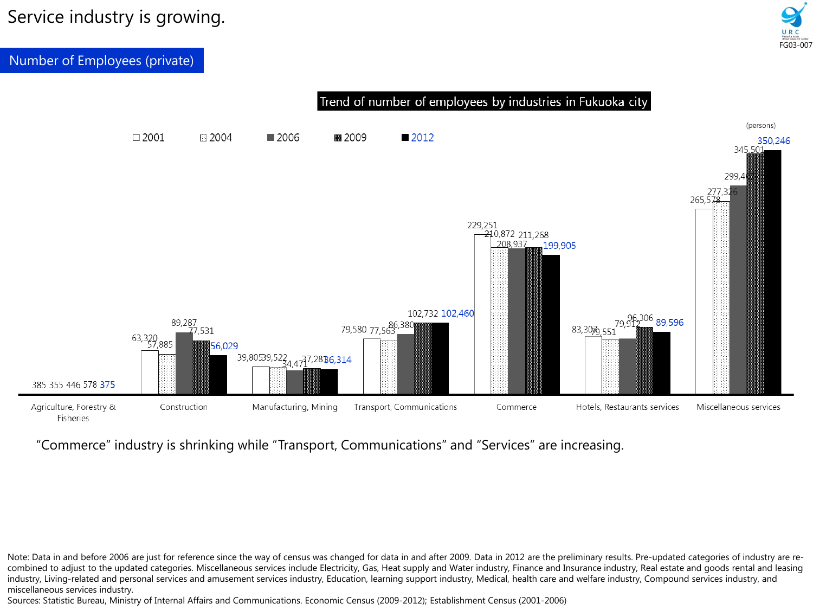## Service industry is growing.



Number of Employees (private)



### "Commerce" industry is shrinking while "Transport, Communications" and "Services" are increasing.

Note: Data in and before 2006 are just for reference since the way of census was changed for data in and after 2009. Data in 2012 are the preliminary results. Pre-updated categories of industry are recombined to adjust to the updated categories. Miscellaneous services include Electricity, Gas, Heat supply and Water industry, Finance and Insurance industry, Real estate and goods rental and leasing industry, Living-related and personal services and amusement services industry, Education, learning support industry, Medical, health care and welfare industry, Compound services industry, and miscellaneous services industry.

Sources: Statistic Bureau, Ministry of Internal Affairs and Communications. Economic Census (2009-2012); Establishment Census (2001-2006)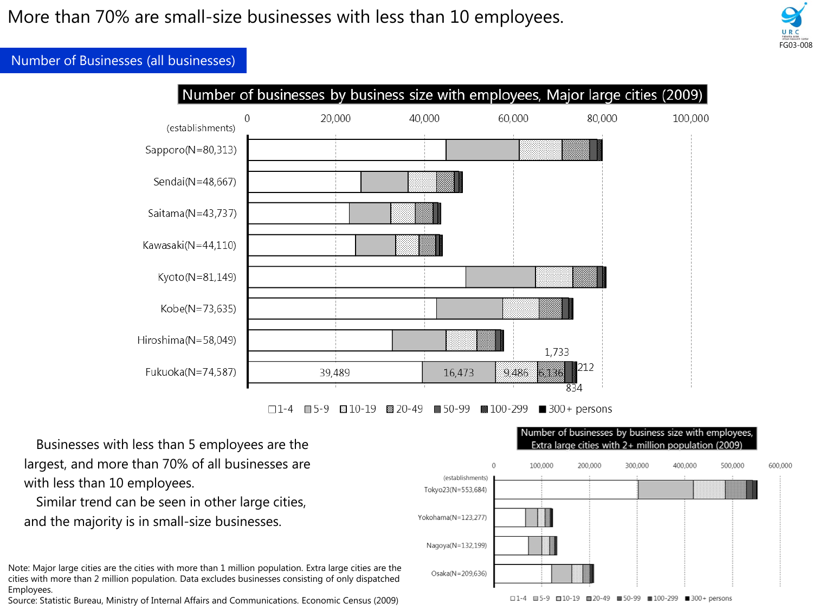

#### Number of Businesses (all businesses)



■ 100-299  $\blacksquare$  300 + persons  $\square$  1-4  $\Box$  5-9 ⊠ 10-19 ⊠820-49  $\blacksquare$  50-99

Businesses with less than 5 employees are the largest, and more than 70% of all businesses are with less than 10 employees.

Similar trend can be seen in other large cities, and the majority is in small-size businesses.

Note: Major large cities are the cities with more than 1 million population. Extra large cities are the cities with more than 2 million population. Data excludes businesses consisting of only dispatched Employees.

Source: Statistic Bureau, Ministry of Internal Affairs and Communications. Economic Census (2009)

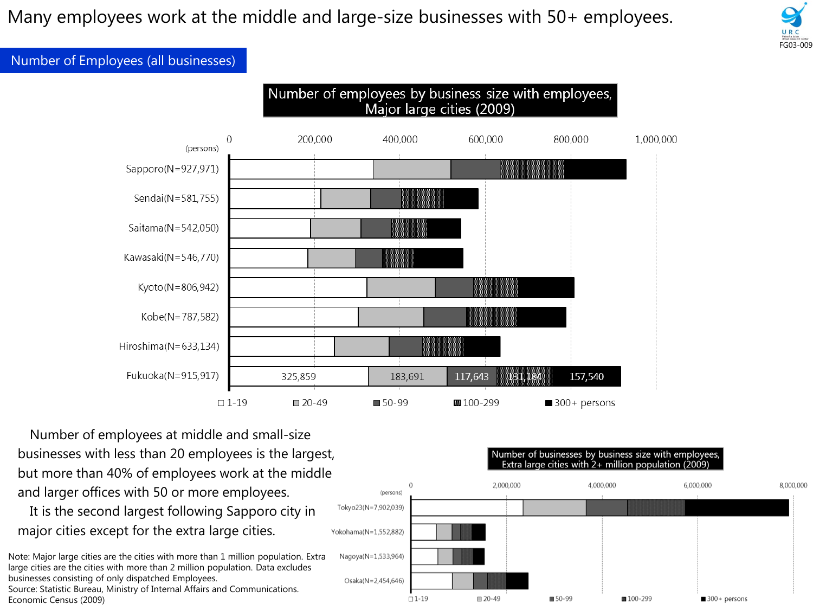Many employees work at the middle and large-size businesses with 50+ employees.



#### Number of Employees (all businesses)



Number of employees at middle and small-size businesses with less than 20 employees is the largest, but more than 40% of employees work at the middle and larger offices with 50 or more employees.

It is the second largest following Sapporo city in major cities except for the extra large cities.

Note: Major large cities are the cities with more than 1 million population. Extra large cities are the cities with more than 2 million population. Data excludes businesses consisting of only dispatched Employees. Source: Statistic Bureau, Ministry of Internal Affairs and Communications. Economic Census (2009)

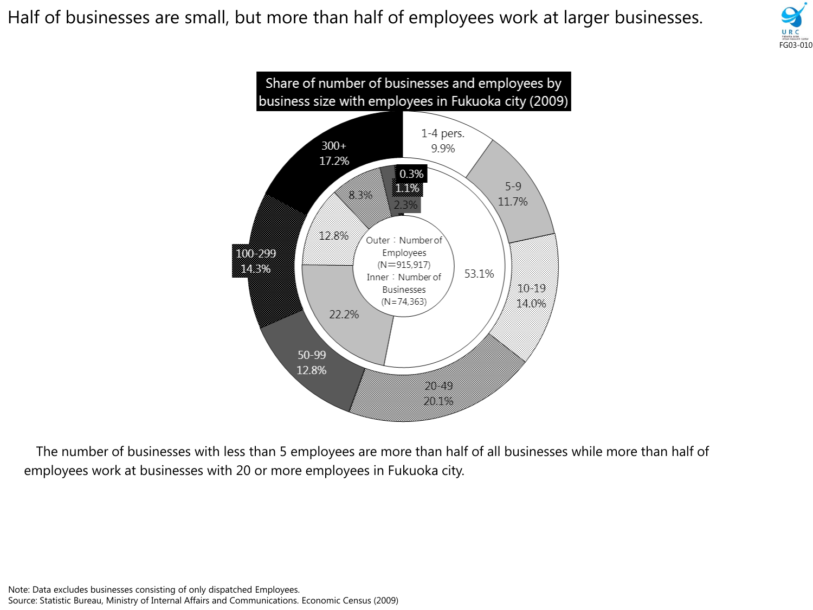Half of businesses are small, but more than half of employees work at larger businesses.





The number of businesses with less than 5 employees are more than half of all businesses while more than half of employees work at businesses with 20 or more employees in Fukuoka city.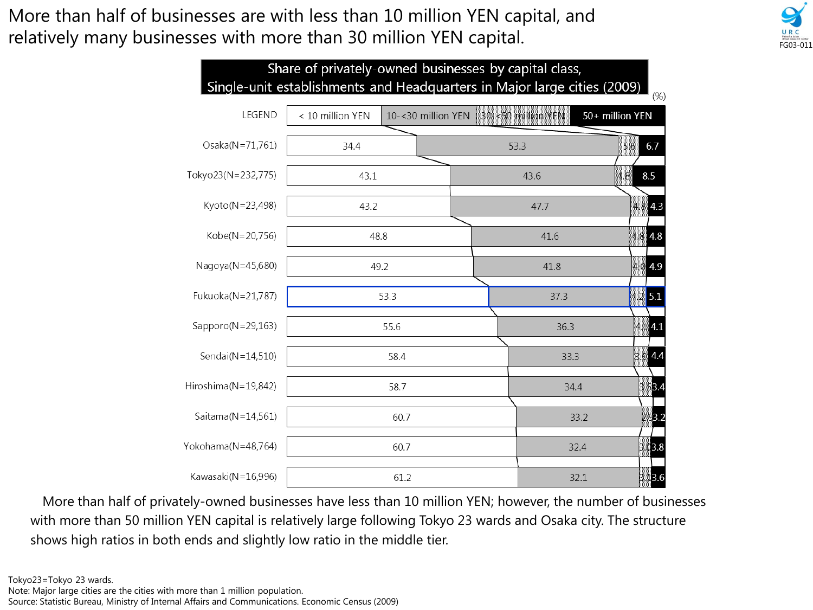More than half of businesses are with less than 10 million YEN capital, and relatively many businesses with more than 30 million YEN capital.



More than half of privately-owned businesses have less than 10 million YEN; however, the number of businesses with more than 50 million YEN capital is relatively large following Tokyo 23 wards and Osaka city. The structure shows high ratios in both ends and slightly low ratio in the middle tier.

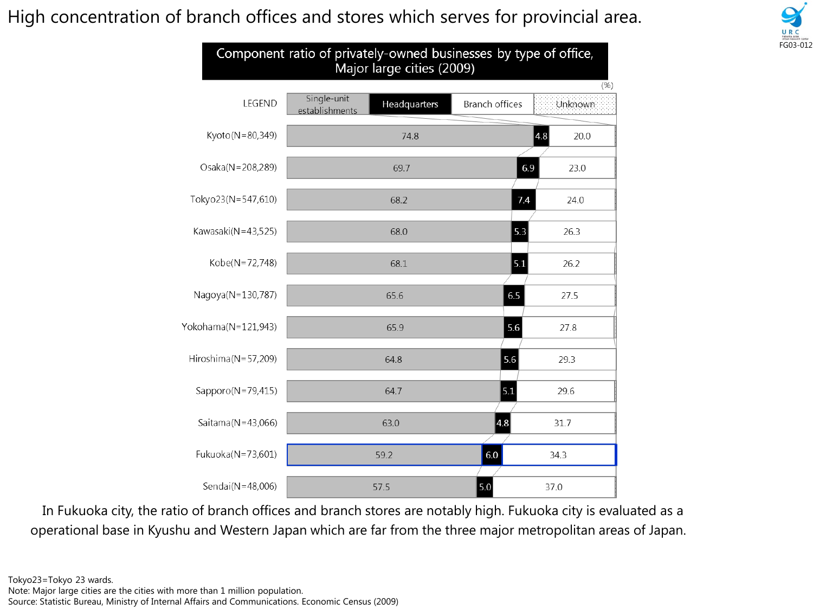High concentration of branch offices and stores which serves for provincial area.



| Component ratio of privately-owned businesses by type of office,<br>Major large cities (2009) |                                               |                                          |
|-----------------------------------------------------------------------------------------------|-----------------------------------------------|------------------------------------------|
| LEGEND                                                                                        | Single-unit<br>Headquarters<br>establishments | (% )<br><b>Branch offices</b><br>Unknown |
| Kyoto(N=80,349)                                                                               | 74.8                                          | $\vert 4.8 \vert$<br>20.0                |
| Osaka(N=208,289)                                                                              | 69.7                                          | 6.9<br>23.0                              |
| Tokyo23(N=547,610)                                                                            | 68.2                                          | 7.4<br>24.0                              |
| Kawasaki(N=43,525)                                                                            | 68.0                                          | 5.3<br>26.3                              |
| Kobe(N=72,748)                                                                                | 68.1                                          | 5.1<br>26.2                              |
| Nagoya(N=130,787)                                                                             | 65.6                                          | 6.5<br>27.5                              |
| Yokohama(N=121,943)                                                                           | 65.9                                          | 5.6<br>27.8                              |
| Hiroshima(N=57,209)                                                                           | 64.8                                          | 5.6<br>29.3                              |
| Sapporo(N=79,415)                                                                             | 64.7                                          | 5.1<br>29.6                              |
| Saitama(N=43,066)                                                                             | 63.0                                          | 4.8 <br>31.7                             |
| Fukuoka(N=73,601)                                                                             | 59.2                                          | 6.0<br>34.3                              |
| Sendai(N=48,006)                                                                              | 57.5                                          | 5.0<br>37.0                              |

In Fukuoka city, the ratio of branch offices and branch stores are notably high. Fukuoka city is evaluated as a operational base in Kyushu and Western Japan which are far from the three major metropolitan areas of Japan.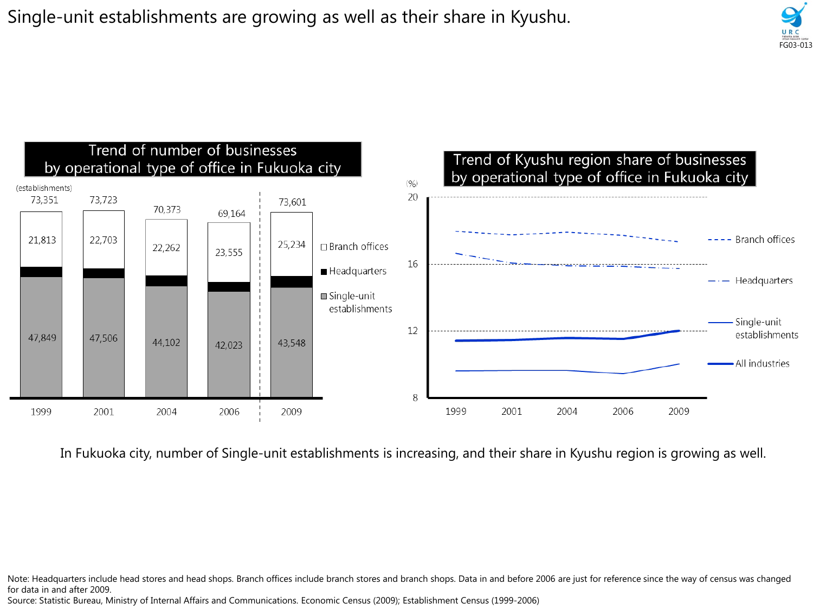Single-unit establishments are growing as well as their share in Kyushu.





In Fukuoka city, number of Single-unit establishments is increasing, and their share in Kyushu region is growing as well.

Note: Headquarters include head stores and head shops. Branch offices include branch stores and branch shops. Data in and before 2006 are just for reference since the way of census was changed for data in and after 2009.

Source: Statistic Bureau, Ministry of Internal Affairs and Communications. Economic Census (2009); Establishment Census (1999-2006)